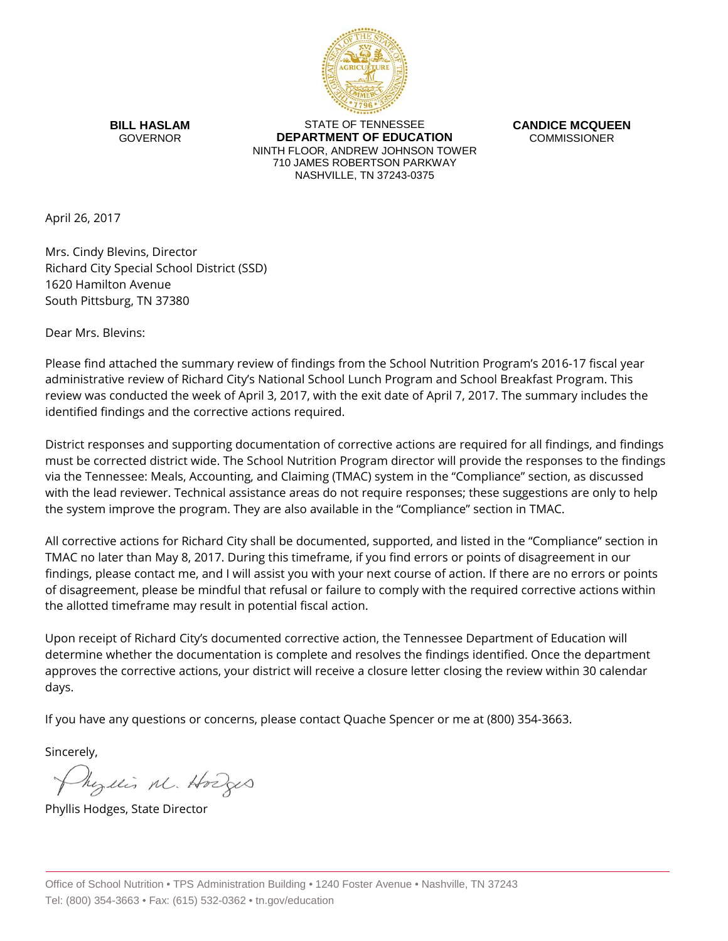

**BILL HASLAM** GOVERNOR

STATE OF TENNESSEE **DEPARTMENT OF EDUCATION** NINTH FLOOR, ANDREW JOHNSON TOWER 710 JAMES ROBERTSON PARKWAY NASHVILLE, TN 37243-0375

**CANDICE MCQUEEN** COMMISSIONER

April 26, 2017

Mrs. Cindy Blevins, Director Richard City Special School District (SSD) 1620 Hamilton Avenue South Pittsburg, TN 37380

Dear Mrs. Blevins:

Please find attached the summary review of findings from the School Nutrition Program's 2016-17 fiscal year administrative review of Richard City's National School Lunch Program and School Breakfast Program. This review was conducted the week of April 3, 2017, with the exit date of April 7, 2017. The summary includes the identified findings and the corrective actions required.

District responses and supporting documentation of corrective actions are required for all findings, and findings must be corrected district wide. The School Nutrition Program director will provide the responses to the findings via the Tennessee: Meals, Accounting, and Claiming (TMAC) system in the "Compliance" section, as discussed with the lead reviewer. Technical assistance areas do not require responses; these suggestions are only to help the system improve the program. They are also available in the "Compliance" section in TMAC.

All corrective actions for Richard City shall be documented, supported, and listed in the "Compliance" section in TMAC no later than May 8, 2017. During this timeframe, if you find errors or points of disagreement in our findings, please contact me, and I will assist you with your next course of action. If there are no errors or points of disagreement, please be mindful that refusal or failure to comply with the required corrective actions within the allotted timeframe may result in potential fiscal action.

Upon receipt of Richard City's documented corrective action, the Tennessee Department of Education will determine whether the documentation is complete and resolves the findings identified. Once the department approves the corrective actions, your district will receive a closure letter closing the review within 30 calendar days.

If you have any questions or concerns, please contact Quache Spencer or me at (800) 354-3663.

Sincerely,

Myllis M. Hodges

Phyllis Hodges, State Director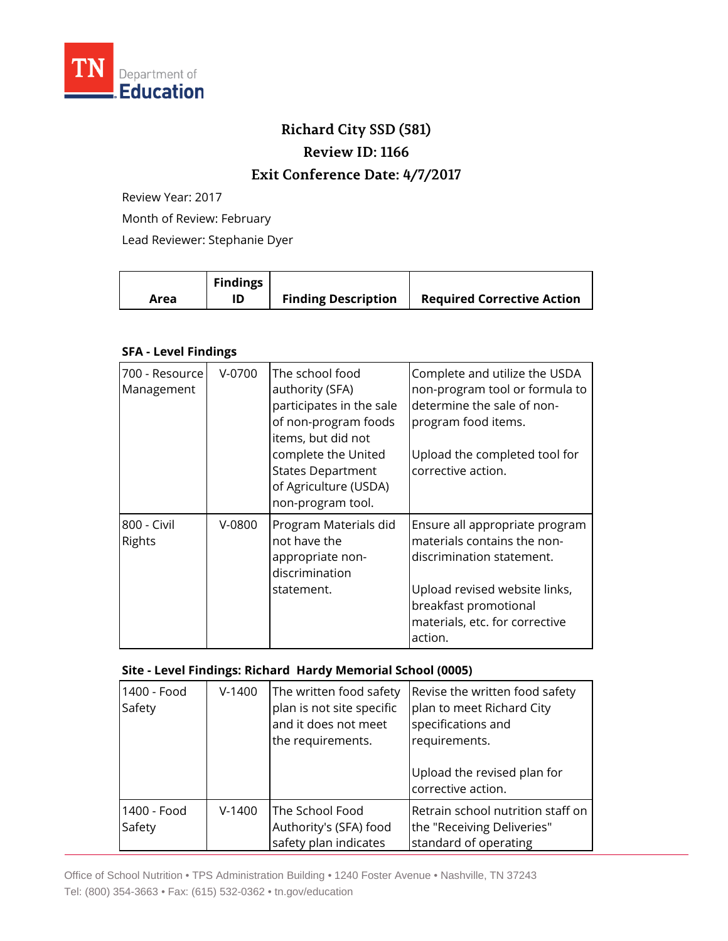

## **Richard City SSD (581) Review ID: 1166**

## **Exit Conference Date: 4/7/2017**

Review Year: 2017

Month of Review: February

Lead Reviewer: Stephanie Dyer

|      | <b>Findings</b> |                            |                                   |
|------|-----------------|----------------------------|-----------------------------------|
| Area |                 | <b>Finding Description</b> | <b>Required Corrective Action</b> |

## **SFA - Level Findings**

| 700 - Resource<br>Management | V-0700   | The school food<br>authority (SFA)<br>participates in the sale<br>of non-program foods<br>items, but did not<br>complete the United<br><b>States Department</b><br>of Agriculture (USDA)<br>non-program tool. | Complete and utilize the USDA<br>non-program tool or formula to<br>determine the sale of non-<br>program food items.<br>Upload the completed tool for<br>corrective action.                       |
|------------------------------|----------|---------------------------------------------------------------------------------------------------------------------------------------------------------------------------------------------------------------|---------------------------------------------------------------------------------------------------------------------------------------------------------------------------------------------------|
| 800 - Civil<br>Rights        | $V-0800$ | Program Materials did<br>not have the<br>appropriate non-<br>discrimination<br>statement.                                                                                                                     | Ensure all appropriate program<br>materials contains the non-<br>discrimination statement.<br>Upload revised website links,<br>breakfast promotional<br>materials, etc. for corrective<br>action. |

## **Site - Level Findings: Richard Hardy Memorial School (0005)**

| 1400 - Food<br>Safety | $V-1400$ | The written food safety<br>plan is not site specific<br>and it does not meet<br>the requirements. | Revise the written food safety<br>plan to meet Richard City<br>specifications and<br>requirements.<br>Upload the revised plan for<br>corrective action. |
|-----------------------|----------|---------------------------------------------------------------------------------------------------|---------------------------------------------------------------------------------------------------------------------------------------------------------|
| 1400 - Food<br>Safety | $V-1400$ | The School Food<br>Authority's (SFA) food<br>safety plan indicates                                | Retrain school nutrition staff on<br>the "Receiving Deliveries"<br>standard of operating                                                                |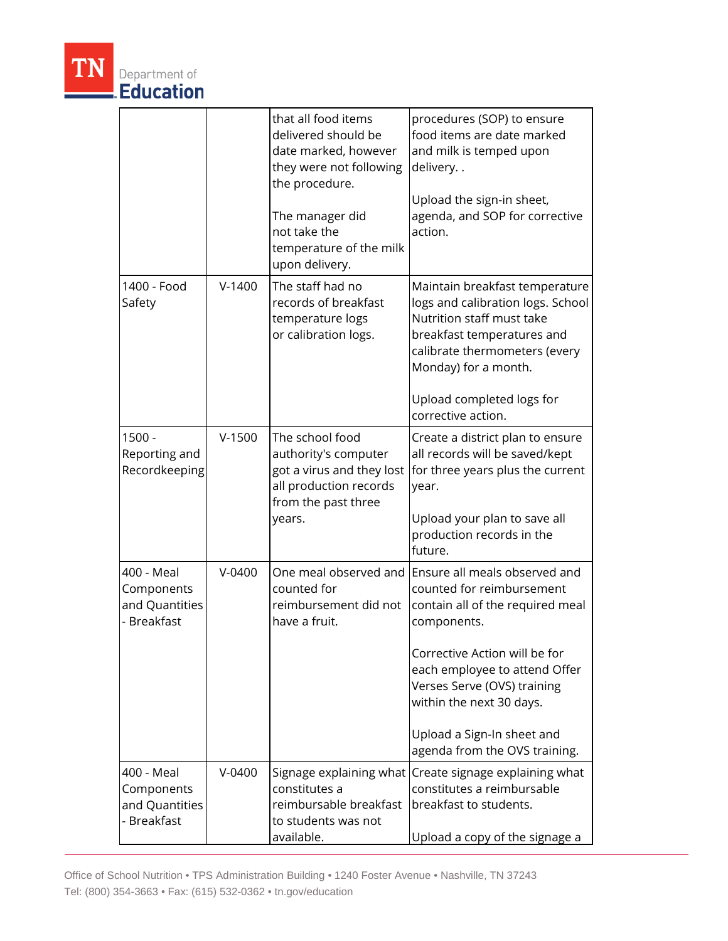|                                                           |          | that all food items<br>delivered should be<br>date marked, however<br>they were not following<br>the procedure.<br>The manager did<br>not take the<br>temperature of the milk<br>upon delivery. | procedures (SOP) to ensure<br>food items are date marked<br>and milk is temped upon<br>delivery<br>Upload the sign-in sheet,<br>agenda, and SOP for corrective<br>action.                                                                                                                                                                  |
|-----------------------------------------------------------|----------|-------------------------------------------------------------------------------------------------------------------------------------------------------------------------------------------------|--------------------------------------------------------------------------------------------------------------------------------------------------------------------------------------------------------------------------------------------------------------------------------------------------------------------------------------------|
| 1400 - Food<br>Safety                                     | $V-1400$ | The staff had no<br>records of breakfast<br>temperature logs<br>or calibration logs.                                                                                                            | Maintain breakfast temperature<br>logs and calibration logs. School<br>Nutrition staff must take<br>breakfast temperatures and<br>calibrate thermometers (every<br>Monday) for a month.<br>Upload completed logs for<br>corrective action.                                                                                                 |
| $1500 -$<br>Reporting and<br>Recordkeeping                | $V-1500$ | The school food<br>authority's computer<br>got a virus and they lost<br>all production records<br>from the past three<br>years.                                                                 | Create a district plan to ensure<br>all records will be saved/kept<br>for three years plus the current<br>year.<br>Upload your plan to save all<br>production records in the                                                                                                                                                               |
| 400 - Meal<br>Components<br>and Quantities<br>- Breakfast | $V-0400$ | counted for<br>reimbursement did not<br>have a fruit.                                                                                                                                           | future.<br>One meal observed and Ensure all meals observed and<br>counted for reimbursement<br>contain all of the required meal<br>components.<br>Corrective Action will be for<br>each employee to attend Offer<br>Verses Serve (OVS) training<br>within the next 30 days.<br>Upload a Sign-In sheet and<br>agenda from the OVS training. |
| 400 - Meal<br>Components<br>and Quantities<br>- Breakfast | $V-0400$ | Signage explaining what<br>constitutes a<br>reimbursable breakfast<br>to students was not<br>available.                                                                                         | Create signage explaining what<br>constitutes a reimbursable<br>breakfast to students.<br>Upload a copy of the signage a                                                                                                                                                                                                                   |